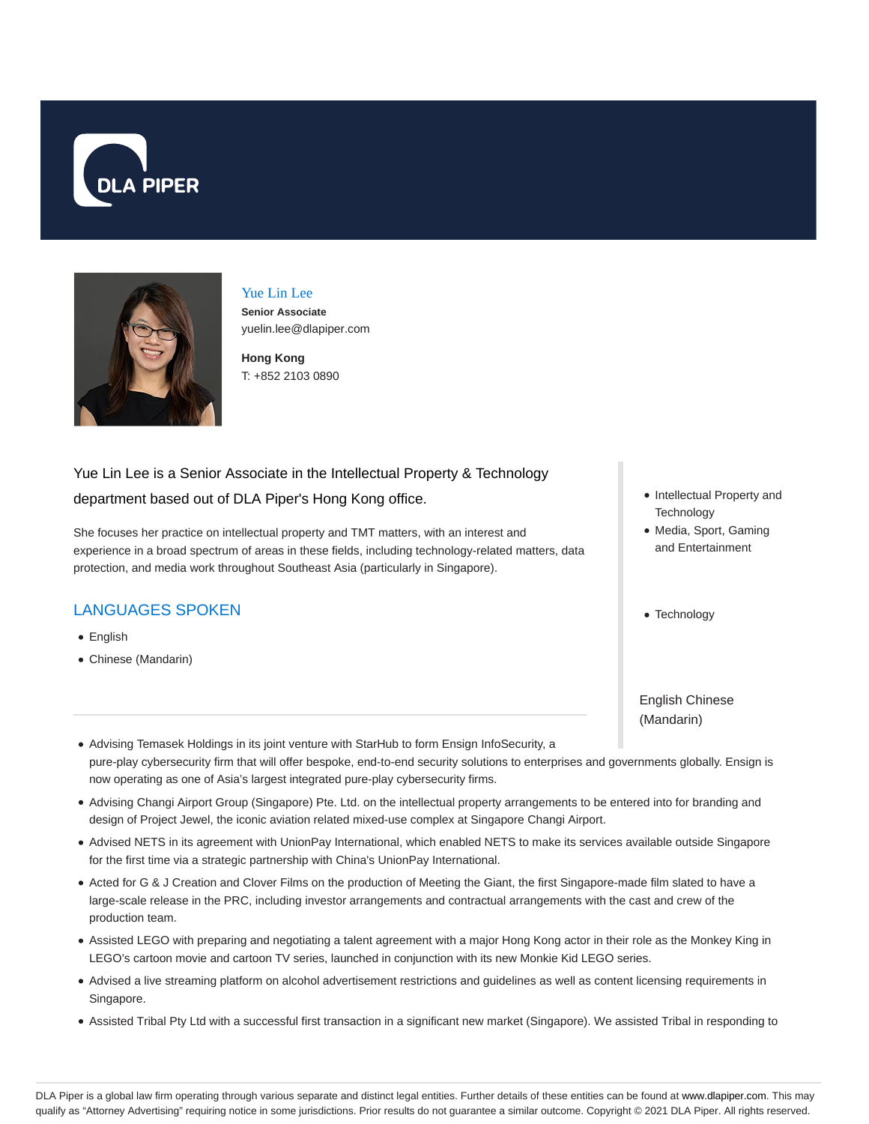



#### Yue Lin Lee

**Senior Associate** yuelin.lee@dlapiper.com

**Hong Kong** T: +852 2103 0890

# Yue Lin Lee is a Senior Associate in the Intellectual Property & Technology department based out of DLA Piper's Hong Kong office.

She focuses her practice on intellectual property and TMT matters, with an interest and experience in a broad spectrum of areas in these fields, including technology-related matters, data protection, and media work throughout Southeast Asia (particularly in Singapore).

# LANGUAGES SPOKEN

- English
- Chinese (Mandarin)
- Intellectual Property and **Technology**
- Media, Sport, Gaming and Entertainment
- Technology

English Chinese (Mandarin)

- Advising Temasek Holdings in its joint venture with StarHub to form Ensign InfoSecurity, a pure-play cybersecurity firm that will offer bespoke, end-to-end security solutions to enterprises and governments globally. Ensign is now operating as one of Asia's largest integrated pure-play cybersecurity firms.
- Advising Changi Airport Group (Singapore) Pte. Ltd. on the intellectual property arrangements to be entered into for branding and design of Project Jewel, the iconic aviation related mixed-use complex at Singapore Changi Airport.
- Advised NETS in its agreement with UnionPay International, which enabled NETS to make its services available outside Singapore for the first time via a strategic partnership with China's UnionPay International.
- Acted for G & J Creation and Clover Films on the production of Meeting the Giant, the first Singapore-made film slated to have a large-scale release in the PRC, including investor arrangements and contractual arrangements with the cast and crew of the production team.
- Assisted LEGO with preparing and negotiating a talent agreement with a major Hong Kong actor in their role as the Monkey King in LEGO's cartoon movie and cartoon TV series, launched in conjunction with its new Monkie Kid LEGO series.
- Advised a live streaming platform on alcohol advertisement restrictions and guidelines as well as content licensing requirements in Singapore.
- Assisted Tribal Pty Ltd with a successful first transaction in a significant new market (Singapore). We assisted Tribal in responding to

DLA Piper is a global law firm operating through various separate and distinct legal entities. Further details of these entities can be found at www.dlapiper.com. This may qualify as "Attorney Advertising" requiring notice in some jurisdictions. Prior results do not guarantee a similar outcome. Copyright @ 2021 DLA Piper. All rights reserved.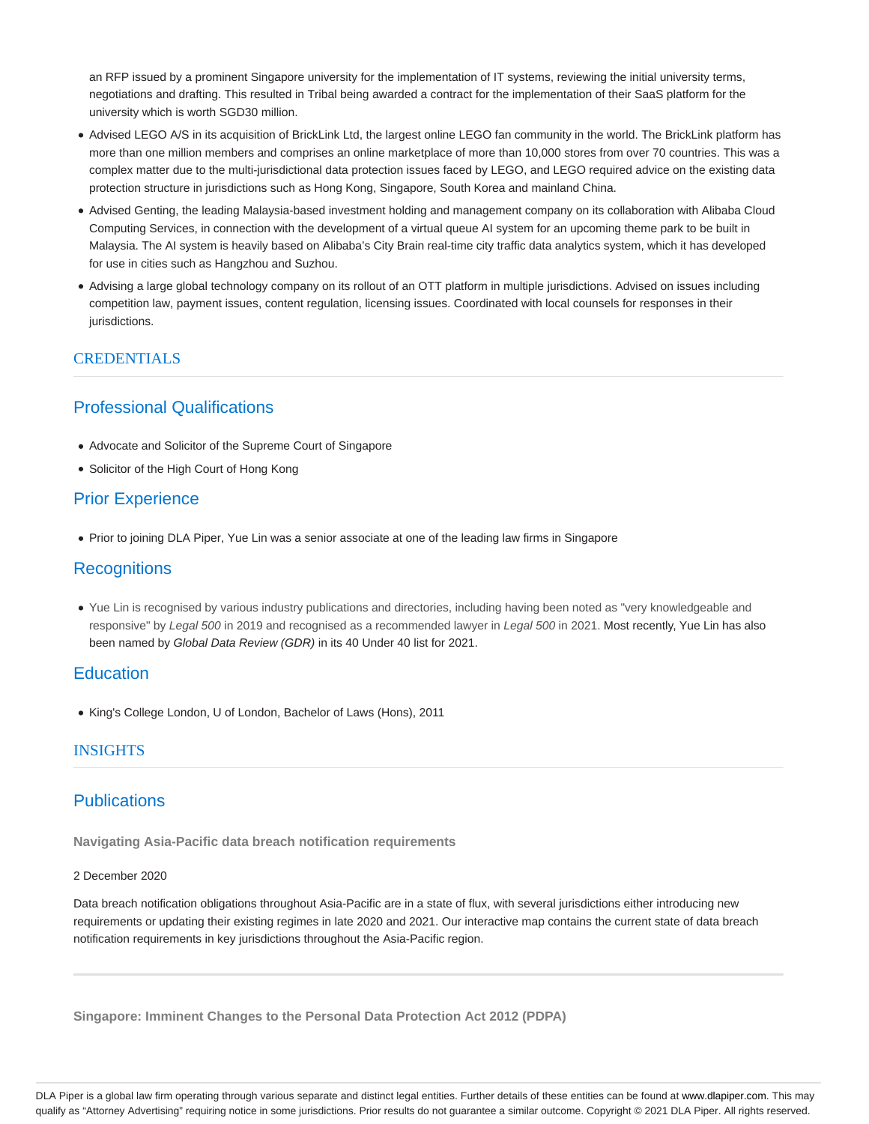an RFP issued by a prominent Singapore university for the implementation of IT systems, reviewing the initial university terms, negotiations and drafting. This resulted in Tribal being awarded a contract for the implementation of their SaaS platform for the university which is worth SGD30 million.

- Advised LEGO A/S in its acquisition of BrickLink Ltd, the largest online LEGO fan community in the world. The BrickLink platform has more than one million members and comprises an online marketplace of more than 10,000 stores from over 70 countries. This was a complex matter due to the multi-jurisdictional data protection issues faced by LEGO, and LEGO required advice on the existing data protection structure in jurisdictions such as Hong Kong, Singapore, South Korea and mainland China.
- Advised Genting, the leading Malaysia-based investment holding and management company on its collaboration with Alibaba Cloud Computing Services, in connection with the development of a virtual queue AI system for an upcoming theme park to be built in Malaysia. The AI system is heavily based on Alibaba's City Brain real-time city traffic data analytics system, which it has developed for use in cities such as Hangzhou and Suzhou.
- Advising a large global technology company on its rollout of an OTT platform in multiple jurisdictions. Advised on issues including competition law, payment issues, content regulation, licensing issues. Coordinated with local counsels for responses in their jurisdictions.

#### **CREDENTIALS**

# Professional Qualifications

- Advocate and Solicitor of the Supreme Court of Singapore
- Solicitor of the High Court of Hong Kong

# Prior Experience

• Prior to joining DLA Piper, Yue Lin was a senior associate at one of the leading law firms in Singapore

# **Recognitions**

Yue Lin is recognised by various industry publications and directories, including having been noted as "very knowledgeable and responsive" by Legal 500 in 2019 and recognised as a recommended lawyer in Legal 500 in 2021. Most recently, Yue Lin has also been named by Global Data Review (GDR) in its 40 Under 40 list for 2021.

# **Education**

King's College London, U of London, Bachelor of Laws (Hons), 2011

#### INSIGHTS

# **Publications**

**Navigating Asia-Pacific data breach notification requirements**

#### 2 December 2020

Data breach notification obligations throughout Asia-Pacific are in a state of flux, with several jurisdictions either introducing new requirements or updating their existing regimes in late 2020 and 2021. Our interactive map contains the current state of data breach notification requirements in key jurisdictions throughout the Asia-Pacific region.

**Singapore: Imminent Changes to the Personal Data Protection Act 2012 (PDPA)**

DLA Piper is a global law firm operating through various separate and distinct legal entities. Further details of these entities can be found at www.dlapiper.com. This may qualify as "Attorney Advertising" requiring notice in some jurisdictions. Prior results do not guarantee a similar outcome. Copyright @ 2021 DLA Piper. All rights reserved.